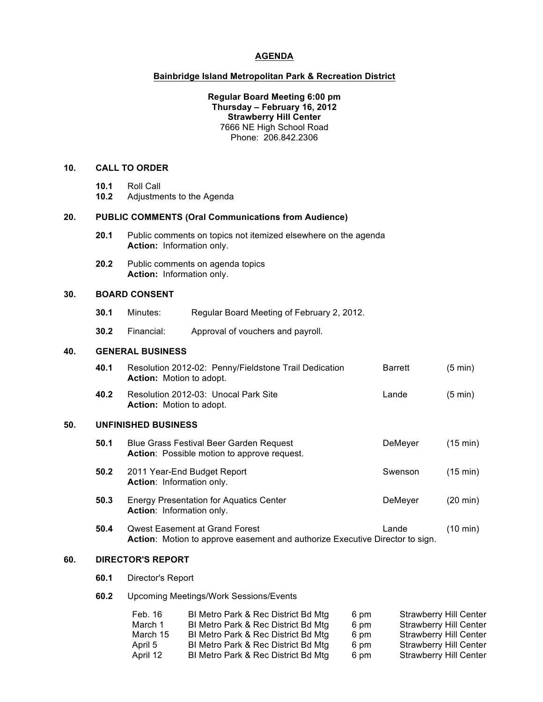#### **AGENDA**

#### **Bainbridge Island Metropolitan Park & Recreation District**

#### **Regular Board Meeting 6:00 pm Thursday – February 16, 2012 Strawberry Hill Center** 7666 NE High School Road Phone: 206.842.2306

## **10. CALL TO ORDER**

- **10.1** Roll Call
- **10.2** Adjustments to the Agenda

## **20. PUBLIC COMMENTS (Oral Communications from Audience)**

- **20.1** Public comments on topics not itemized elsewhere on the agenda **Action:** Information only.
- **20.2** Public comments on agenda topics **Action:** Information only.

#### **30. BOARD CONSENT**

- **30.1** Minutes: Regular Board Meeting of February 2, 2012.
- **30.2** Financial: Approval of vouchers and payroll.

## **40. GENERAL BUSINESS**

|     | 40.1 | Resolution 2012-02: Penny/Fieldstone Trail Dedication<br><b>Action:</b> Motion to adopt.                              | <b>Barrett</b> | $(5 \text{ min})$  |  |
|-----|------|-----------------------------------------------------------------------------------------------------------------------|----------------|--------------------|--|
|     | 40.2 | Resolution 2012-03: Unocal Park Site<br><b>Action:</b> Motion to adopt.                                               | Lande          | $(5 \text{ min})$  |  |
| 50. |      | <b>UNFINISHED BUSINESS</b>                                                                                            |                |                    |  |
|     | 50.1 | Blue Grass Festival Beer Garden Request<br><b>Action:</b> Possible motion to approve request.                         | DeMeyer        | $(15 \text{ min})$ |  |
|     | 50.2 | 2011 Year-End Budget Report<br><b>Action:</b> Information only.                                                       | Swenson        | $(15 \text{ min})$ |  |
|     | 50.3 | <b>Energy Presentation for Aquatics Center</b><br>Action: Information only.                                           | DeMeyer        | $(20 \text{ min})$ |  |
|     | 50.4 | <b>Owest Easement at Grand Forest</b><br>Action: Motion to approve easement and authorize Executive Director to sign. | Lande          | $(10 \text{ min})$ |  |
|     |      |                                                                                                                       |                |                    |  |

## **60. DIRECTOR'S REPORT**

**60.1** Director's Report

## **60.2** Upcoming Meetings/Work Sessions/Events

| Feb. 16  | BI Metro Park & Rec District Bd Mtg | 6 pm | <b>Strawberry Hill Center</b> |
|----------|-------------------------------------|------|-------------------------------|
| March 1  | BI Metro Park & Rec District Bd Mtg | 6 pm | <b>Strawberry Hill Center</b> |
| March 15 | BI Metro Park & Rec District Bd Mtg | 6 pm | Strawberry Hill Center        |
| April 5  | BI Metro Park & Rec District Bd Mtg | 6 pm | Strawberry Hill Center        |
| April 12 | BI Metro Park & Rec District Bd Mtg | 6 pm | Strawberry Hill Center        |